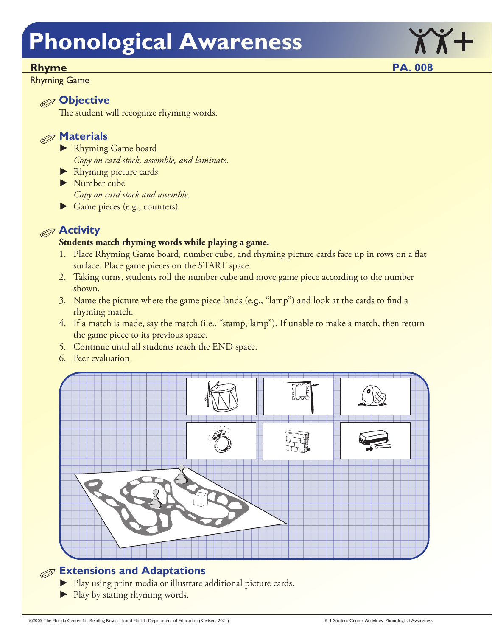### Rhyme PA. 008

Rhyming Game

### **Objective**

The student will recognize rhyming words.



- ► Rhyming Game board *Copy on card stock, assemble, and laminate.*
- ► Rhyming picture cards
- ► Number cube *Copy on card stock and assemble.*
- ► Game pieces (e.g., counters)

### **Activity**

### **Students match rhyming words while playing a game.**

- 1. Place Rhyming Game board, number cube, and rhyming picture cards face up in rows on a flat surface. Place game pieces on the START space.
- 2. Taking turns, students roll the number cube and move game piece according to the number shown.
- 3. Name the picture where the game piece lands (e.g., "lamp") and look at the cards to find a rhyming match.
- 4. If a match is made, say the match (i.e., "stamp, lamp"). If unable to make a match, then return the game piece to its previous space.
- 5. Continue until all students reach the END space.
- 6. Peer evaluation



### **Extensions and Adaptations**

- ► Play using print media or illustrate additional picture cards.
- ► Play by stating rhyming words.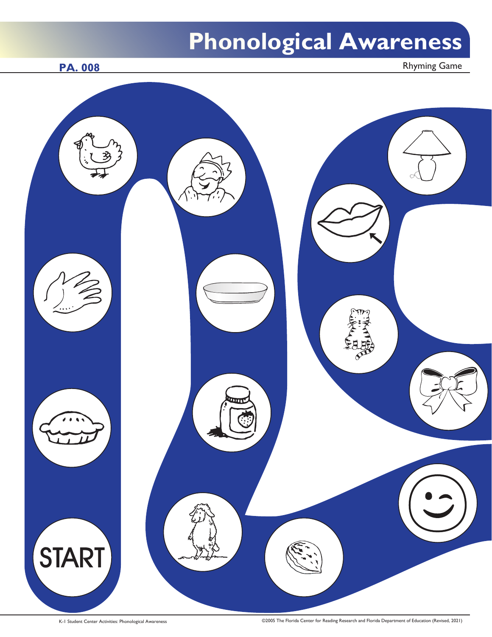PA. 008 Rhyming Game

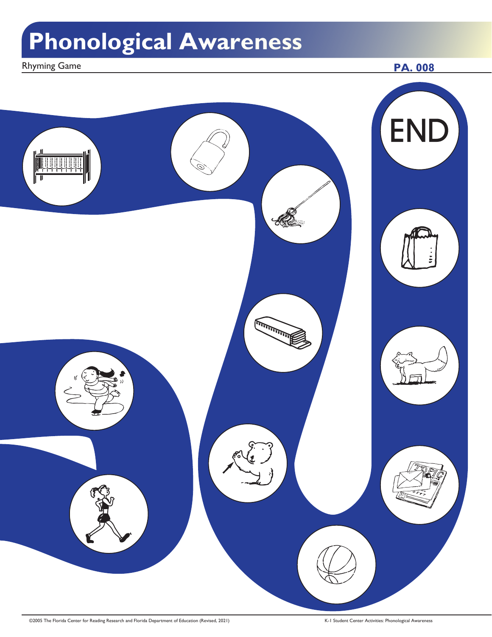Rhyming Game **PA. 008** 



©2005 The Florida Center for Reading Research and Florida Department of Education (Revised, 2021) K-1 Student Center Activities: Phonological Awareness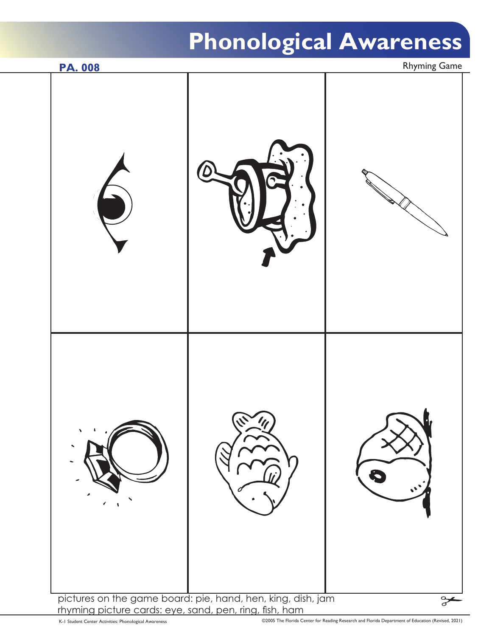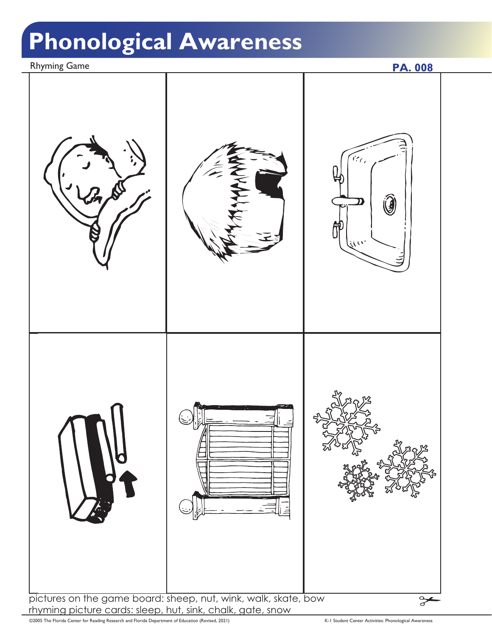Rhyming Game **PA. 008**  $\tau_{\mathcal{C}_\mathcal{C}}$  $\mathbf{G}% _{t}$ pictures on the game board: sheep, nut, wink, walk, skate, bow  $\frac{1}{\sigma}$ rhyming picture cards: sleep, hut, sink, chalk, gate, snow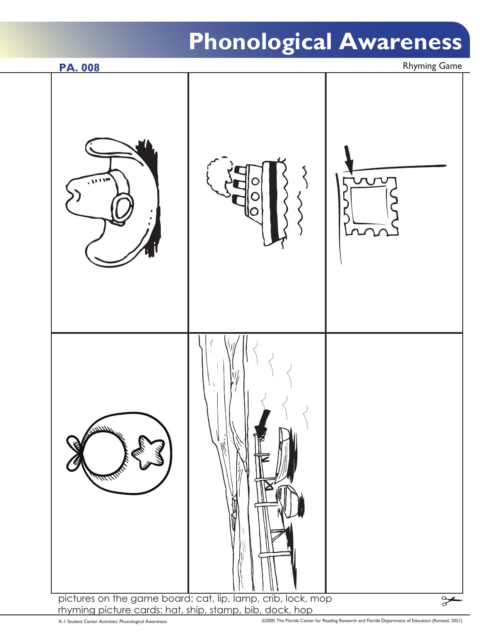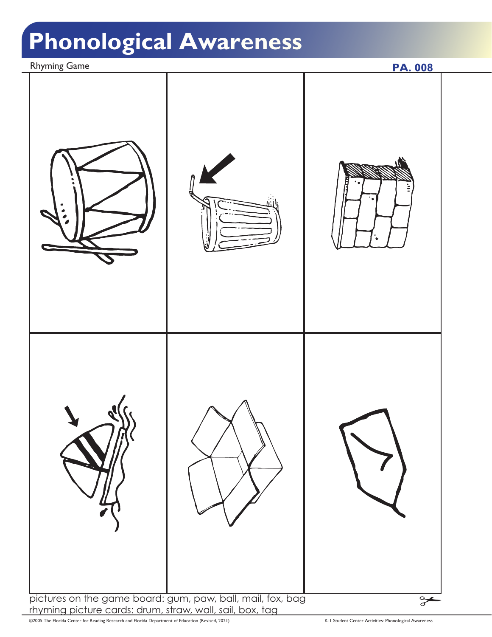Rhyming Game **PA. 008** pictures on the game board: gum, paw, ball, mail, fox, bag  $\approx$ rhyming picture cards: drum, straw, wall, sail, box, tag